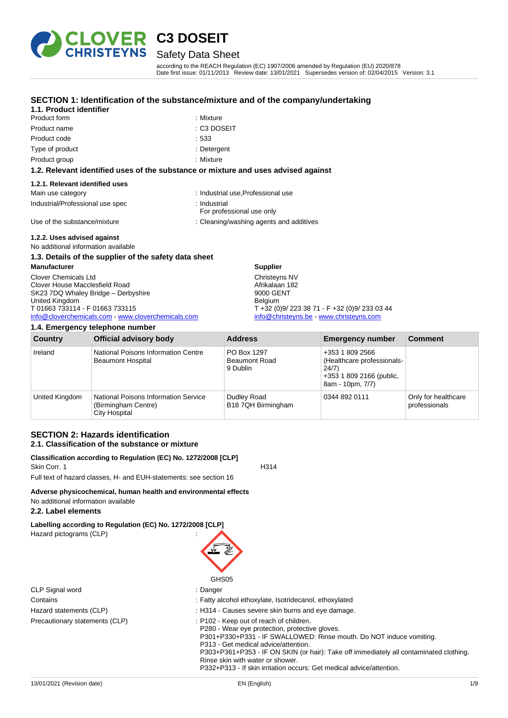

## Safety Data Sheet

according to the REACH Regulation (EC) 1907/2006 amended by Regulation (EU) 2020/878 Date first issue: 01/11/2013 Review date: 13/01/2021 Supersedes version of: 02/04/2015 Version: 3.1

#### **SECTION 1: Identification of the substance/mixture and of the company/undertaking**

### **1.1. Product identifier**

| <b>Product form</b> | : Mixture |
|---------------------|-----------|
| Product name        | : C3 DO:  |
| Product code        | :533      |
| Type of product     | : Deterge |
| Product group       | : Mixture |

: Mixture  $\pm$  C3 DOSEIT

· Detergent

#### **1.2. Relevant identified uses of the substance or mixture and uses advised against**

#### **1.2.1. Relevant identified uses**

| Main use category                | : Industrial use, Professional use        |
|----------------------------------|-------------------------------------------|
| Industrial/Professional use spec | ∴ Industrial<br>For professional use only |
| Use of the substance/mixture     | : Cleaning/washing agents and additives   |

### **1.2.2. Uses advised against**

No additional information available

### **1.3. Details of the supplier of the safety data sheet**

**Manufacturer** Clover Chemicals Ltd Clover House Macclesfield Road SK23 7DQ Whaley Bridge - Derbyshire United Kingdom T 01663 733114 - F 01663 733115 [info@cloverchemicals.com](mailto:info@cloverchemicals.com) - [www.cloverchemicals.com](http://www.cloverchemicals.com/)

| 1.4. Emergency telephone number |                                                                                     |                                                 |                                                                                                        |                                      |
|---------------------------------|-------------------------------------------------------------------------------------|-------------------------------------------------|--------------------------------------------------------------------------------------------------------|--------------------------------------|
| Country                         | <b>Official advisory body</b>                                                       | <b>Address</b>                                  | <b>Emergency number</b>                                                                                | <b>Comment</b>                       |
| Ireland                         | National Poisons Information Centre<br>Beaumont Hospital                            | PO Box 1297<br><b>Beaumont Road</b><br>9 Dublin | +353 1 809 2566<br>(Healthcare professionals-<br>24/7)<br>+353 1 809 2166 (public,<br>8am - 10pm, 7/7) |                                      |
| United Kingdom                  | <b>National Poisons Information Service</b><br>(Birmingham Centre)<br>City Hospital | Dudley Road<br>B18 7QH Birmingham               | 0344 892 0111                                                                                          | Only for healthcare<br>professionals |

**Supplier** Christeyns NV Afrikalaan 182 9000 GENT Belgium

T +32 (0)9/ 223 38 71 - F +32 (0)9/ 233 03 44 [info@christeyns.be](mailto:info@christeyns.be) - [www.christeyns.com](http://www.christeyns.com/)

#### **SECTION 2: Hazards identification 2.1. Classification of the substance or mixture**

#### **Classification according to Regulation (EC) No. 1272/2008 [CLP]** Skin Corr. 1 H314

Full text of hazard classes, H- and EUH-statements: see section 16

#### **Adverse physicochemical, human health and environmental effects** No additional information available

### **2.2. Label elements**

**Labelling according to Regulation (EC) No. 1272/2008 [CLP]** Hazard pictograms (CLP) :

| ן און טע |  |
|----------|--|
|          |  |
|          |  |
|          |  |
| ∩⊔e∩r    |  |

|                                | GHS05                                                                                                                                                            |
|--------------------------------|------------------------------------------------------------------------------------------------------------------------------------------------------------------|
| CLP Signal word                | : Danger                                                                                                                                                         |
| Contains                       | : Fatty alcohol ethoxylate, Isotridecanol, ethoxylated                                                                                                           |
| Hazard statements (CLP)        | : H314 - Causes severe skin burns and eve damage.                                                                                                                |
| Precautionary statements (CLP) | : P102 - Keep out of reach of children.<br>P280 - Wear eye protection, protective gloves.<br>P301+P330+P331 - IF SWALLOWED: Rinse mouth. Do NOT induce vomiting. |

P332+P313 - If skin irritation occurs: Get medical advice/attention.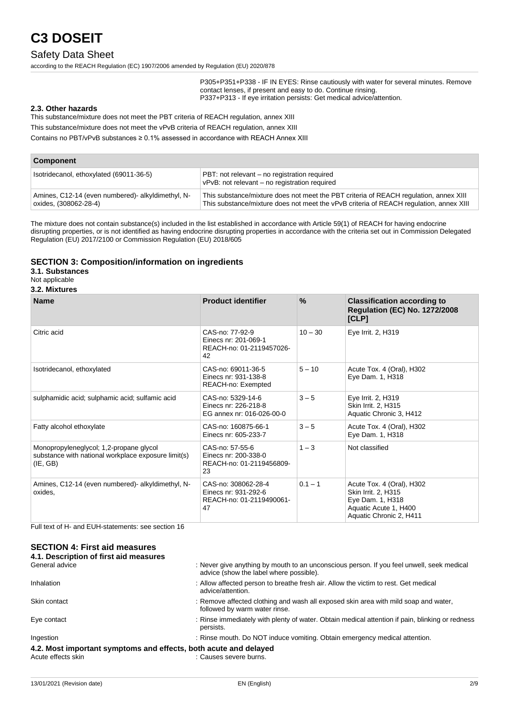### Safety Data Sheet

according to the REACH Regulation (EC) 1907/2006 amended by Regulation (EU) 2020/878

P305+P351+P338 - IF IN EYES: Rinse cautiously with water for several minutes. Remove contact lenses, if present and easy to do. Continue rinsing. P337+P313 - If eye irritation persists: Get medical advice/attention.

#### **2.3. Other hazards**

This substance/mixture does not meet the PBT criteria of REACH regulation, annex XIII

This substance/mixture does not meet the vPvB criteria of REACH regulation, annex XIII

Contains no PBT/vPvB substances ≥ 0.1% assessed in accordance with REACH Annex XIII

| <b>Component</b>                                                          |                                                                                                                                                                                 |  |
|---------------------------------------------------------------------------|---------------------------------------------------------------------------------------------------------------------------------------------------------------------------------|--|
| Isotridecanol, ethoxylated (69011-36-5)                                   | PBT: not relevant – no registration required<br>vPvB: not relevant - no registration required                                                                                   |  |
| Amines, C12-14 (even numbered) alkyldimethyl, N-<br>oxides, (308062-28-4) | This substance/mixture does not meet the PBT criteria of REACH regulation, annex XIII<br>This substance/mixture does not meet the vPvB criteria of REACH regulation, annex XIII |  |

The mixture does not contain substance(s) included in the list established in accordance with Article 59(1) of REACH for having endocrine disrupting properties, or is not identified as having endocrine disrupting properties in accordance with the criteria set out in Commission Delegated Regulation (EU) 2017/2100 or Commission Regulation (EU) 2018/605

#### **SECTION 3: Composition/information on ingredients**

#### **3.1. Substances**

Not applicable

#### **3.2. Mixtures**

| <b>Name</b>                                                                                                | <b>Product identifier</b>                                                     | $\%$      | <b>Classification according to</b><br><b>Regulation (EC) No. 1272/2008</b><br>[CLP]                                      |
|------------------------------------------------------------------------------------------------------------|-------------------------------------------------------------------------------|-----------|--------------------------------------------------------------------------------------------------------------------------|
| Citric acid                                                                                                | CAS-no: 77-92-9<br>Einecs nr: 201-069-1<br>REACH-no: 01-2119457026-<br>42     | $10 - 30$ | Eye Irrit. 2, H319                                                                                                       |
| Isotridecanol, ethoxylated                                                                                 | CAS-no: 69011-36-5<br>Einecs nr: 931-138-8<br>REACH-no: Exempted              | $5 - 10$  | Acute Tox. 4 (Oral), H302<br>Eye Dam. 1, H318                                                                            |
| sulphamidic acid; sulphamic acid; sulfamic acid                                                            | CAS-no: 5329-14-6<br>Einecs nr: 226-218-8<br>EG annex nr: 016-026-00-0        | $3 - 5$   | Eye Irrit. 2, H319<br>Skin Irrit. 2, H315<br>Aquatic Chronic 3, H412                                                     |
| Fatty alcohol ethoxylate                                                                                   | CAS-no: 160875-66-1<br>Einecs nr: 605-233-7                                   | $3 - 5$   | Acute Tox. 4 (Oral), H302<br>Eye Dam. 1, H318                                                                            |
| Monopropyleneglycol; 1,2-propane glycol<br>substance with national workplace exposure limit(s)<br>(IE, GB) | CAS-no: 57-55-6<br>Einecs nr: 200-338-0<br>REACH-no: 01-2119456809-<br>23     | $1 - 3$   | Not classified                                                                                                           |
| Amines, C12-14 (even numbered) alkyldimethyl, N-<br>oxides,                                                | CAS-no: 308062-28-4<br>Einecs nr: 931-292-6<br>REACH-no: 01-2119490061-<br>47 | $0.1 - 1$ | Acute Tox. 4 (Oral), H302<br>Skin Irrit. 2, H315<br>Eye Dam. 1, H318<br>Aquatic Acute 1, H400<br>Aquatic Chronic 2, H411 |

Full text of H- and EUH-statements: see section 16

## **SECTION 4: First aid measures**

| 4.1. Description of first aid measures                           |                                                                                                                                      |
|------------------------------------------------------------------|--------------------------------------------------------------------------------------------------------------------------------------|
| General advice                                                   | : Never give anything by mouth to an unconscious person. If you feel unwell, seek medical<br>advice (show the label where possible). |
| Inhalation                                                       | : Allow affected person to breathe fresh air. Allow the victim to rest. Get medical<br>advice/attention.                             |
| Skin contact                                                     | : Remove affected clothing and wash all exposed skin area with mild soap and water,<br>followed by warm water rinse.                 |
| Eye contact                                                      | : Rinse immediately with plenty of water. Obtain medical attention if pain, blinking or redness<br>persists.                         |
| Ingestion                                                        | : Rinse mouth. Do NOT induce vomiting. Obtain emergency medical attention.                                                           |
| 4.2. Most important symptoms and effects, both acute and delayed |                                                                                                                                      |
| Acute effects skin                                               | : Causes severe burns.                                                                                                               |

13/01/2021 (Revision date) EN (English) 2/9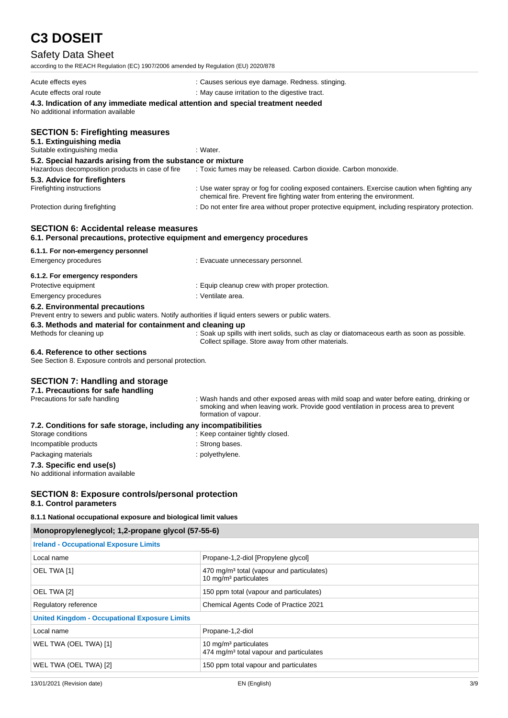## Safety Data Sheet

| <b>Jaicil</b> Dala Jilcci                                                                                                                 |                                                                                                                                                                                |
|-------------------------------------------------------------------------------------------------------------------------------------------|--------------------------------------------------------------------------------------------------------------------------------------------------------------------------------|
| according to the REACH Regulation (EC) 1907/2006 amended by Regulation (EU) 2020/878                                                      |                                                                                                                                                                                |
| Acute effects eyes                                                                                                                        | : Causes serious eye damage. Redness. stinging.                                                                                                                                |
| Acute effects oral route                                                                                                                  | : May cause irritation to the digestive tract.                                                                                                                                 |
| 4.3. Indication of any immediate medical attention and special treatment needed<br>No additional information available                    |                                                                                                                                                                                |
| <b>SECTION 5: Firefighting measures</b><br>5.1. Extinguishing media<br>Suitable extinguishing media                                       | : Water.                                                                                                                                                                       |
| 5.2. Special hazards arising from the substance or mixture                                                                                |                                                                                                                                                                                |
| Hazardous decomposition products in case of fire                                                                                          | : Toxic fumes may be released. Carbon dioxide. Carbon monoxide.                                                                                                                |
| 5.3. Advice for firefighters<br>Firefighting instructions                                                                                 | : Use water spray or fog for cooling exposed containers. Exercise caution when fighting any<br>chemical fire. Prevent fire fighting water from entering the environment.       |
| Protection during firefighting                                                                                                            | : Do not enter fire area without proper protective equipment, including respiratory protection.                                                                                |
| <b>SECTION 6: Accidental release measures</b><br>6.1. Personal precautions, protective equipment and emergency procedures                 |                                                                                                                                                                                |
| 6.1.1. For non-emergency personnel                                                                                                        |                                                                                                                                                                                |
| <b>Emergency procedures</b>                                                                                                               | : Evacuate unnecessary personnel.                                                                                                                                              |
| 6.1.2. For emergency responders                                                                                                           |                                                                                                                                                                                |
| Protective equipment                                                                                                                      | : Equip cleanup crew with proper protection.                                                                                                                                   |
| <b>Emergency procedures</b>                                                                                                               | : Ventilate area.                                                                                                                                                              |
| 6.2. Environmental precautions<br>Prevent entry to sewers and public waters. Notify authorities if liquid enters sewers or public waters. |                                                                                                                                                                                |
| 6.3. Methods and material for containment and cleaning up                                                                                 |                                                                                                                                                                                |
| Methods for cleaning up                                                                                                                   | : Soak up spills with inert solids, such as clay or diatomaceous earth as soon as possible.<br>Collect spillage. Store away from other materials.                              |
| 6.4. Reference to other sections<br>See Section 8. Exposure controls and personal protection.                                             |                                                                                                                                                                                |
| <b>SECTION 7: Handling and storage</b><br>7.1. Precautions for safe handling<br>Precautions for safe handling                             | : Wash hands and other exposed areas with mild soap and water before eating, drinking or<br>smoking and when leaving work. Provide good ventilation in process area to prevent |
|                                                                                                                                           | formation of vapour.                                                                                                                                                           |
| 7.2. Conditions for safe storage, including any incompatibilities<br>Storage conditions                                                   | : Keep container tightly closed.                                                                                                                                               |
| Incompatible products                                                                                                                     | : Strong bases.                                                                                                                                                                |
| Packaging materials                                                                                                                       | : polyethylene.                                                                                                                                                                |
| 7.3. Specific end use(s)<br>No additional information available                                                                           |                                                                                                                                                                                |

#### **SECTION 8: Exposure controls/personal protection 8.1. Control parameters**

#### **8.1.1 National occupational exposure and biological limit values**

| Monopropyleneglycol; 1,2-propane glycol (57-55-6)    |                                                                                            |  |
|------------------------------------------------------|--------------------------------------------------------------------------------------------|--|
| <b>Ireland - Occupational Exposure Limits</b>        |                                                                                            |  |
| Local name                                           | Propane-1,2-diol [Propylene glycol]                                                        |  |
| OEL TWA [1]                                          | 470 mg/m <sup>3</sup> total (vapour and particulates)<br>10 mg/m <sup>3</sup> particulates |  |
| OEL TWA [2]                                          | 150 ppm total (vapour and particulates)                                                    |  |
| Regulatory reference                                 | Chemical Agents Code of Practice 2021                                                      |  |
| <b>United Kingdom - Occupational Exposure Limits</b> |                                                                                            |  |
| Local name                                           | Propane-1,2-diol                                                                           |  |
| WEL TWA (OEL TWA) [1]                                | 10 mg/m <sup>3</sup> particulates<br>474 mg/m <sup>3</sup> total vapour and particulates   |  |
| WEL TWA (OEL TWA) [2]                                | 150 ppm total vapour and particulates                                                      |  |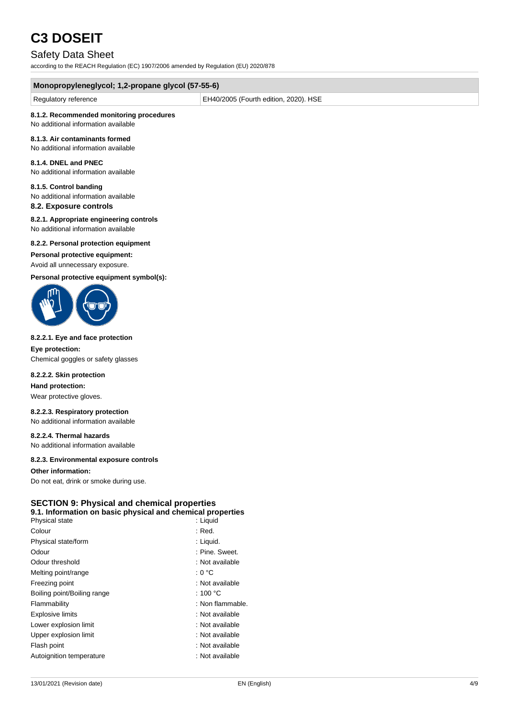### Safety Data Sheet

according to the REACH Regulation (EC) 1907/2006 amended by Regulation (EU) 2020/878

| Monopropyleneglycol; 1,2-propane glycol (57-55-6) |                                       |  |
|---------------------------------------------------|---------------------------------------|--|
| Regulatory reference                              | EH40/2005 (Fourth edition, 2020). HSE |  |
| 8.1.2. Recommended monitoring procedures          |                                       |  |

#### No additional information available

#### **8.1.3. Air contaminants formed**

No additional information available

#### **8.1.4. DNEL and PNEC**

No additional information available

#### **8.1.5. Control banding**

No additional information available

### **8.2. Exposure controls**

**8.2.1. Appropriate engineering controls** No additional information available

#### **8.2.2. Personal protection equipment**

**Personal protective equipment:**

#### Avoid all unnecessary exposure.

**Personal protective equipment symbol(s):**



#### **8.2.2.1. Eye and face protection**

**Eye protection:** Chemical goggles or safety glasses

#### **8.2.2.2. Skin protection**

**Hand protection:**

Wear protective gloves.

#### **8.2.2.3. Respiratory protection**

No additional information available

### **8.2.2.4. Thermal hazards**

No additional information available

#### **8.2.3. Environmental exposure controls**

#### **Other information:**

Do not eat, drink or smoke during use.

#### **SECTION 9: Physical and chemical properties**

#### **9.1. Information on basic physical and chemical properties**

| Physical state              | : Liguid           |
|-----------------------------|--------------------|
| Colour                      | $:$ Red.           |
| Physical state/form         | : Liquid.          |
| Odour                       | : Pine. Sweet.     |
| Odour threshold             | : Not available    |
| Melting point/range         | : 0 °C             |
| Freezing point              | : Not available    |
| Boiling point/Boiling range | : 100 $^{\circ}$ C |
| Flammability                | : Non flammable.   |
| <b>Explosive limits</b>     | : Not available    |
| Lower explosion limit       | : Not available    |
| Upper explosion limit       | : Not available    |
| Flash point                 | : Not available    |
| Autoignition temperature    | : Not available    |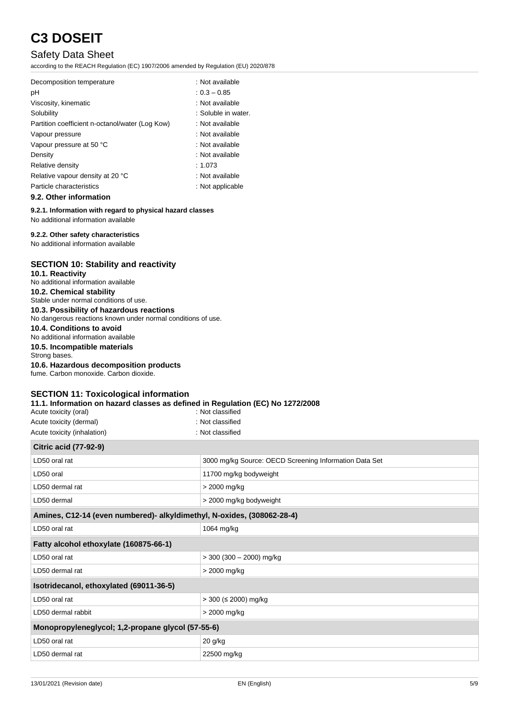### Safety Data Sheet

according to the REACH Regulation (EC) 1907/2006 amended by Regulation (EU) 2020/878

| Decomposition temperature                       | : Not available     |
|-------------------------------------------------|---------------------|
| рH                                              | $: 0.3 - 0.85$      |
| Viscosity, kinematic                            | : Not available     |
| Solubility                                      | : Soluble in water. |
| Partition coefficient n-octanol/water (Log Kow) | : Not available     |
| Vapour pressure                                 | : Not available     |
| Vapour pressure at 50 °C                        | : Not available     |
| Density                                         | : Not available     |
| Relative density                                | : 1.073             |
| Relative vapour density at 20 °C                | : Not available     |
| Particle characteristics                        | : Not applicable    |
|                                                 |                     |

#### **9.2. Other information**

**9.2.1. Information with regard to physical hazard classes** No additional information available

#### **9.2.2. Other safety characteristics**

No additional information available

#### **SECTION 10: Stability and reactivity**

**10.1. Reactivity**

No additional information available

#### **10.2. Chemical stability** Stable under normal conditions of use.

**10.3. Possibility of hazardous reactions**

No dangerous reactions known under normal conditions of use.

#### **10.4. Conditions to avoid**

No additional information available

#### **10.5. Incompatible materials**

Strong bases.

#### **10.6. Hazardous decomposition products**

fume. Carbon monoxide. Carbon dioxide.

#### **SECTION 11: Toxicological information**

#### **11.1. Information on hazard classes as defined in Regulation (EC) No 1272/2008**

| Acute toxicity (oral)       | : Not classified |
|-----------------------------|------------------|
| Acute toxicity (dermal)     | : Not classified |
| Acute toxicity (inhalation) | : Not classified |

## **Citric acid (77-92-9)**

| Citric acid $(7-92-9)$                                                 |                                                        |
|------------------------------------------------------------------------|--------------------------------------------------------|
| LD50 oral rat                                                          | 3000 mg/kg Source: OECD Screening Information Data Set |
| LD50 oral                                                              | 11700 mg/kg bodyweight                                 |
| LD50 dermal rat                                                        | > 2000 mg/kg                                           |
| LD50 dermal                                                            | > 2000 mg/kg bodyweight                                |
| Amines, C12-14 (even numbered)- alkyldimethyl, N-oxides, (308062-28-4) |                                                        |
| LD50 oral rat                                                          | 1064 mg/kg                                             |
| Fatty alcohol ethoxylate (160875-66-1)                                 |                                                        |
| LD50 oral rat                                                          | $>$ 300 (300 - 2000) mg/kg                             |
| LD50 dermal rat                                                        | > 2000 mg/kg                                           |
| Isotridecanol, ethoxylated (69011-36-5)                                |                                                        |
| LD50 oral rat                                                          | > 300 (≤ 2000) mg/kg                                   |
| LD50 dermal rabbit                                                     | > 2000 mg/kg                                           |
| Monopropyleneglycol; 1,2-propane glycol (57-55-6)                      |                                                        |
| LD50 oral rat                                                          | 20 g/kg                                                |
| LD50 dermal rat                                                        | 22500 mg/kg                                            |
|                                                                        |                                                        |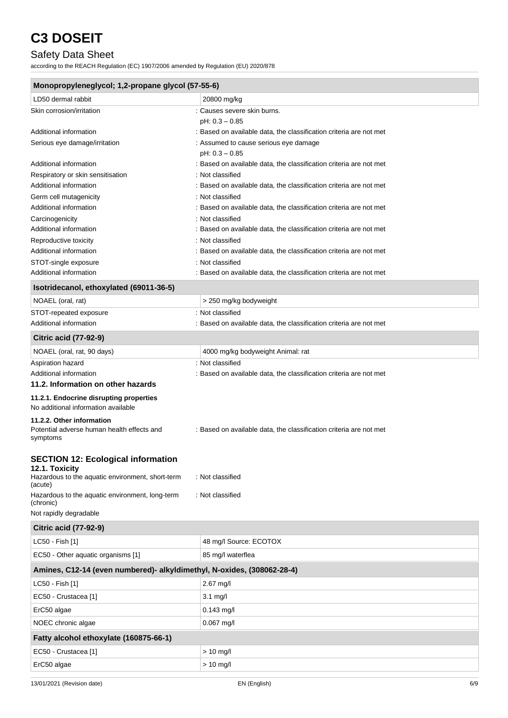## Safety Data Sheet

according to the REACH Regulation (EC) 1907/2006 amended by Regulation (EU) 2020/878

| Monopropyleneglycol; 1,2-propane glycol (57-55-6)                              |                                                                                        |  |
|--------------------------------------------------------------------------------|----------------------------------------------------------------------------------------|--|
| LD50 dermal rabbit                                                             | 20800 mg/kg                                                                            |  |
| Skin corrosion/irritation                                                      | : Causes severe skin burns.                                                            |  |
|                                                                                | $pH: 0.3 - 0.85$                                                                       |  |
| Additional information                                                         | : Based on available data, the classification criteria are not met                     |  |
| Serious eye damage/irritation                                                  | : Assumed to cause serious eye damage                                                  |  |
|                                                                                | $pH: 0.3 - 0.85$                                                                       |  |
| Additional information                                                         | : Based on available data, the classification criteria are not met<br>: Not classified |  |
| Respiratory or skin sensitisation<br>Additional information                    | : Based on available data, the classification criteria are not met                     |  |
| Germ cell mutagenicity                                                         | : Not classified                                                                       |  |
| Additional information                                                         | : Based on available data, the classification criteria are not met                     |  |
| Carcinogenicity                                                                | : Not classified                                                                       |  |
| Additional information                                                         | : Based on available data, the classification criteria are not met                     |  |
| Reproductive toxicity                                                          | : Not classified                                                                       |  |
| Additional information                                                         | : Based on available data, the classification criteria are not met                     |  |
| STOT-single exposure                                                           | : Not classified                                                                       |  |
| Additional information                                                         | : Based on available data, the classification criteria are not met                     |  |
| Isotridecanol, ethoxylated (69011-36-5)                                        |                                                                                        |  |
| NOAEL (oral, rat)                                                              | > 250 mg/kg bodyweight                                                                 |  |
| STOT-repeated exposure                                                         | : Not classified                                                                       |  |
| Additional information                                                         | : Based on available data, the classification criteria are not met                     |  |
| <b>Citric acid (77-92-9)</b>                                                   |                                                                                        |  |
| NOAEL (oral, rat, 90 days)                                                     | 4000 mg/kg bodyweight Animal: rat                                                      |  |
| Aspiration hazard                                                              | : Not classified                                                                       |  |
| Additional information                                                         | : Based on available data, the classification criteria are not met                     |  |
| 11.2. Information on other hazards                                             |                                                                                        |  |
| 11.2.1. Endocrine disrupting properties<br>No additional information available |                                                                                        |  |
| 11.2.2. Other information                                                      |                                                                                        |  |
| Potential adverse human health effects and<br>symptoms                         | : Based on available data, the classification criteria are not met                     |  |
| <b>SECTION 12: Ecological information</b>                                      |                                                                                        |  |
| 12.1. Toxicity                                                                 |                                                                                        |  |
| Hazardous to the aquatic environment, short-term<br>(acute)                    | : Not classified                                                                       |  |
| Hazardous to the aquatic environment, long-term<br>(chronic)                   | : Not classified                                                                       |  |
| Not rapidly degradable                                                         |                                                                                        |  |
| <b>Citric acid (77-92-9)</b>                                                   |                                                                                        |  |
| LC50 - Fish [1]                                                                | 48 mg/l Source: ECOTOX                                                                 |  |
| EC50 - Other aquatic organisms [1]                                             | 85 mg/l waterflea                                                                      |  |
| Amines, C12-14 (even numbered)- alkyldimethyl, N-oxides, (308062-28-4)         |                                                                                        |  |
| LC50 - Fish [1]                                                                | 2.67 mg/l                                                                              |  |
| EC50 - Crustacea [1]                                                           | $3.1$ mg/l                                                                             |  |
| ErC50 algae                                                                    | $0.143$ mg/l                                                                           |  |
| NOEC chronic algae                                                             | $0.067$ mg/l                                                                           |  |
| Fatty alcohol ethoxylate (160875-66-1)                                         |                                                                                        |  |
| EC50 - Crustacea [1]                                                           | > 10 mg/l                                                                              |  |
| ErC50 algae                                                                    | $> 10$ mg/l                                                                            |  |
|                                                                                |                                                                                        |  |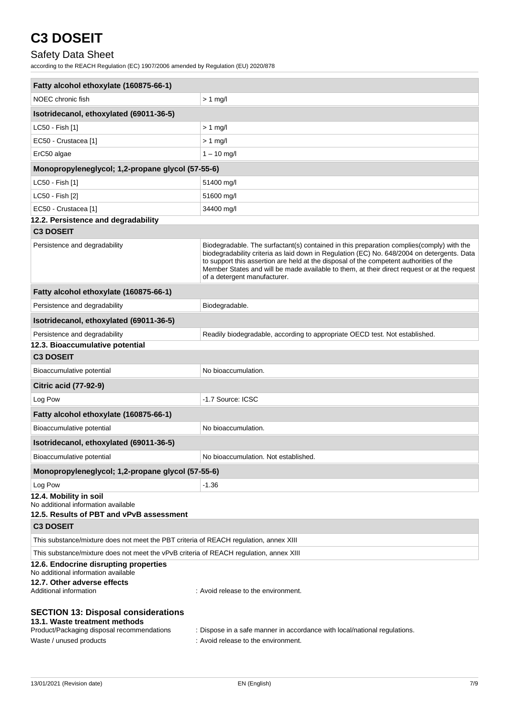## Safety Data Sheet

according to the REACH Regulation (EC) 1907/2006 amended by Regulation (EU) 2020/878

| Fatty alcohol ethoxylate (160875-66-1)                                                                                    |                                                                                                                                                                                                                                                                                                                                                                                                                  |
|---------------------------------------------------------------------------------------------------------------------------|------------------------------------------------------------------------------------------------------------------------------------------------------------------------------------------------------------------------------------------------------------------------------------------------------------------------------------------------------------------------------------------------------------------|
| NOEC chronic fish                                                                                                         | $> 1$ mg/l                                                                                                                                                                                                                                                                                                                                                                                                       |
| Isotridecanol, ethoxylated (69011-36-5)                                                                                   |                                                                                                                                                                                                                                                                                                                                                                                                                  |
| LC50 - Fish [1]                                                                                                           | $> 1$ mg/                                                                                                                                                                                                                                                                                                                                                                                                        |
| EC50 - Crustacea [1]                                                                                                      | $> 1$ mg/l                                                                                                                                                                                                                                                                                                                                                                                                       |
| ErC50 algae                                                                                                               | $1 - 10$ mg/l                                                                                                                                                                                                                                                                                                                                                                                                    |
| Monopropyleneglycol; 1,2-propane glycol (57-55-6)                                                                         |                                                                                                                                                                                                                                                                                                                                                                                                                  |
| LC50 - Fish [1]                                                                                                           | 51400 mg/l                                                                                                                                                                                                                                                                                                                                                                                                       |
| LC50 - Fish [2]                                                                                                           | 51600 mg/l                                                                                                                                                                                                                                                                                                                                                                                                       |
| EC50 - Crustacea [1]                                                                                                      | 34400 mg/l                                                                                                                                                                                                                                                                                                                                                                                                       |
| 12.2. Persistence and degradability                                                                                       |                                                                                                                                                                                                                                                                                                                                                                                                                  |
| <b>C3 DOSEIT</b>                                                                                                          |                                                                                                                                                                                                                                                                                                                                                                                                                  |
| Persistence and degradability                                                                                             | Biodegradable. The surfactant(s) contained in this preparation complies (comply) with the<br>biodegradability criteria as laid down in Regulation (EC) No. 648/2004 on detergents. Data<br>to support this assertion are held at the disposal of the competent authorities of the<br>Member States and will be made available to them, at their direct request or at the request<br>of a detergent manufacturer. |
| Fatty alcohol ethoxylate (160875-66-1)                                                                                    |                                                                                                                                                                                                                                                                                                                                                                                                                  |
| Persistence and degradability                                                                                             | Biodegradable.                                                                                                                                                                                                                                                                                                                                                                                                   |
| Isotridecanol, ethoxylated (69011-36-5)                                                                                   |                                                                                                                                                                                                                                                                                                                                                                                                                  |
| Persistence and degradability                                                                                             | Readily biodegradable, according to appropriate OECD test. Not established.                                                                                                                                                                                                                                                                                                                                      |
| 12.3. Bioaccumulative potential                                                                                           |                                                                                                                                                                                                                                                                                                                                                                                                                  |
| <b>C3 DOSEIT</b>                                                                                                          |                                                                                                                                                                                                                                                                                                                                                                                                                  |
| Bioaccumulative potential                                                                                                 | No bioaccumulation.                                                                                                                                                                                                                                                                                                                                                                                              |
| <b>Citric acid (77-92-9)</b>                                                                                              |                                                                                                                                                                                                                                                                                                                                                                                                                  |
| Log Pow                                                                                                                   | -1.7 Source: ICSC                                                                                                                                                                                                                                                                                                                                                                                                |
| Fatty alcohol ethoxylate (160875-66-1)                                                                                    |                                                                                                                                                                                                                                                                                                                                                                                                                  |
| Bioaccumulative potential                                                                                                 | No bioaccumulation.                                                                                                                                                                                                                                                                                                                                                                                              |
| Isotridecanol, ethoxylated (69011-36-5)                                                                                   |                                                                                                                                                                                                                                                                                                                                                                                                                  |
| Bioaccumulative potential                                                                                                 | No bioaccumulation. Not established.                                                                                                                                                                                                                                                                                                                                                                             |
| Monopropyleneglycol; 1,2-propane glycol (57-55-6)                                                                         |                                                                                                                                                                                                                                                                                                                                                                                                                  |
| Log Pow                                                                                                                   | $-1.36$                                                                                                                                                                                                                                                                                                                                                                                                          |
| 12.4. Mobility in soil<br>No additional information available<br>12.5. Results of PBT and vPvB assessment                 |                                                                                                                                                                                                                                                                                                                                                                                                                  |
| <b>C3 DOSEIT</b>                                                                                                          |                                                                                                                                                                                                                                                                                                                                                                                                                  |
| This substance/mixture does not meet the PBT criteria of REACH regulation, annex XIII                                     |                                                                                                                                                                                                                                                                                                                                                                                                                  |
| This substance/mixture does not meet the vPvB criteria of REACH regulation, annex XIII                                    |                                                                                                                                                                                                                                                                                                                                                                                                                  |
| 12.6. Endocrine disrupting properties<br>No additional information available                                              |                                                                                                                                                                                                                                                                                                                                                                                                                  |
| 12.7. Other adverse effects<br>Additional information                                                                     | : Avoid release to the environment.                                                                                                                                                                                                                                                                                                                                                                              |
| <b>SECTION 13: Disposal considerations</b><br>13.1. Waste treatment methods<br>Product/Packaging disposal recommendations | : Dispose in a safe manner in accordance with local/national regulations.                                                                                                                                                                                                                                                                                                                                        |
| Waste / unused products                                                                                                   | : Avoid release to the environment.                                                                                                                                                                                                                                                                                                                                                                              |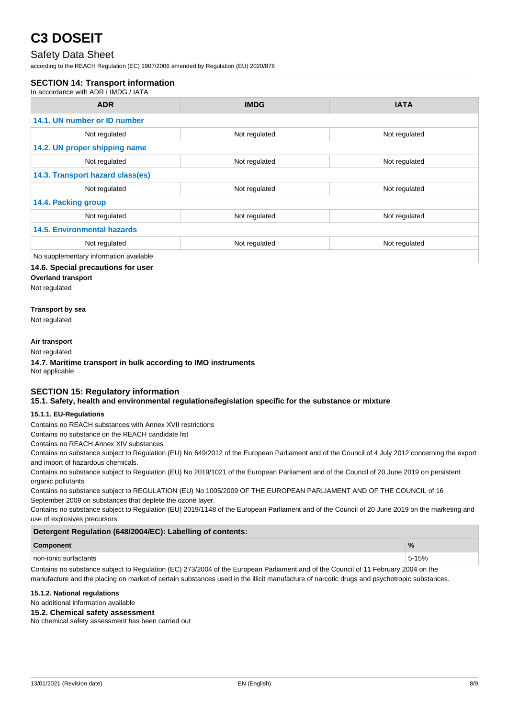### Safety Data Sheet

according to the REACH Regulation (EC) 1907/2006 amended by Regulation (EU) 2020/878

#### **SECTION 14: Transport information**

In accordance with ADR / IMDG / IATA

| <b>ADR</b>                             | <b>IMDG</b>   | <b>IATA</b>   |
|----------------------------------------|---------------|---------------|
| 14.1. UN number or ID number           |               |               |
| Not regulated                          | Not regulated | Not regulated |
| 14.2. UN proper shipping name          |               |               |
| Not regulated                          | Not regulated | Not regulated |
| 14.3. Transport hazard class(es)       |               |               |
| Not regulated                          | Not regulated | Not regulated |
| 14.4. Packing group                    |               |               |
| Not regulated                          | Not regulated | Not regulated |
| <b>14.5. Environmental hazards</b>     |               |               |
| Not regulated                          | Not regulated | Not regulated |
| No supplementary information available |               |               |

#### **14.6. Special precautions for user**

**Overland transport**

Not regulated

#### **Transport by sea**

Not regulated

#### **Air transport**

Not regulated

**14.7. Maritime transport in bulk according to IMO instruments** Not applicable

#### **SECTION 15: Regulatory information 15.1. Safety, health and environmental regulations/legislation specific for the substance or mixture**

#### **15.1.1. EU-Regulations**

Contains no REACH substances with Annex XVII restrictions

Contains no substance on the REACH candidate list

Contains no REACH Annex XIV substances

Contains no substance subject to Regulation (EU) No 649/2012 of the European Parliament and of the Council of 4 July 2012 concerning the export and import of hazardous chemicals.

Contains no substance subject to Regulation (EU) No 2019/1021 of the European Parliament and of the Council of 20 June 2019 on persistent organic pollutants

Contains no substance subject to REGULATION (EU) No 1005/2009 OF THE EUROPEAN PARLIAMENT AND OF THE COUNCIL of 16 September 2009 on substances that deplete the ozone layer.

Contains no substance subject to Regulation (EU) 2019/1148 of the European Parliament and of the Council of 20 June 2019 on the marketing and use of explosives precursors.

#### **Detergent Regulation (648/2004/EC): Labelling of contents:**

#### **Component %**

non-ionic surfactants 5-15% and the surfactants of the surfactants of the surfactants of the surfactants of the surfactants of the surfactants of the surfactants of the surfactants of the surfactants of the surfactants of

Contains no substance subject to Regulation (EC) 273/2004 of the European Parliament and of the Council of 11 February 2004 on the manufacture and the placing on market of certain substances used in the illicit manufacture of narcotic drugs and psychotropic substances.

#### **15.1.2. National regulations**

No additional information available

#### **15.2. Chemical safety assessment**

No chemical safety assessment has been carried out